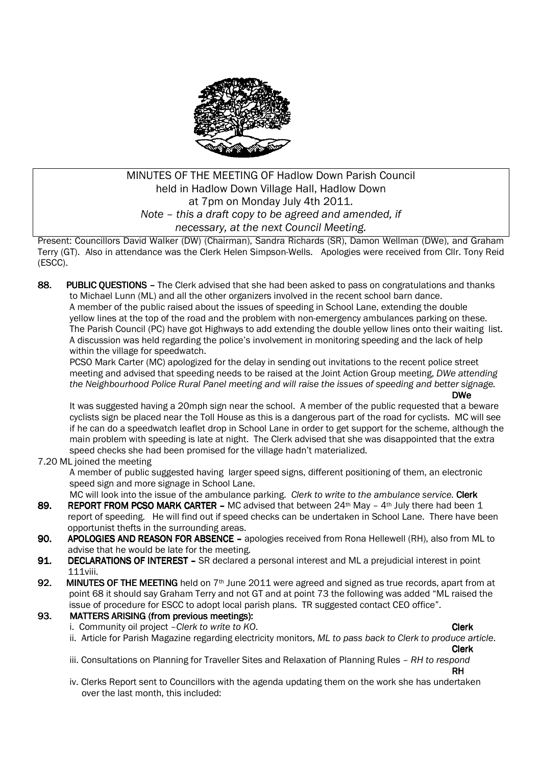

# MINUTES OF THE MEETING OF Hadlow Down Parish Council held in Hadlow Down Village Hall, Hadlow Down at 7pm on Monday July 4th 2011. *Note – this a draft copy to be agreed and amended, if necessary, at the next Council Meeting.*

Present: Councillors David Walker (DW) (Chairman), Sandra Richards (SR), Damon Wellman (DWe), and Graham Terry (GT). Also in attendance was the Clerk Helen Simpson-Wells. Apologies were received from Cllr. Tony Reid (ESCC).

88. PUBLIC OUESTIONS – The Clerk advised that she had been asked to pass on congratulations and thanks to Michael Lunn (ML) and all the other organizers involved in the recent school barn dance. A member of the public raised about the issues of speeding in School Lane, extending the double yellow lines at the top of the road and the problem with non-emergency ambulances parking on these. The Parish Council (PC) have got Highways to add extending the double yellow lines onto their waiting list. A discussion was held regarding the police's involvement in monitoring speeding and the lack of help within the village for speedwatch.

PCSO Mark Carter (MC) apologized for the delay in sending out invitations to the recent police street meeting and advised that speeding needs to be raised at the Joint Action Group meeting, *DWe attending the Neighbourhood Police Rural Panel meeting and will raise the issues of speeding and better signage.* 

*DWe* It was suggested having a 20mph sign near the school. A member of the public requested that a beware cyclists sign be placed near the Toll House as this is a dangerous part of the road for cyclists. MC will see if he can do a speedwatch leaflet drop in School Lane in order to get support for the scheme, although the main problem with speeding is late at night. The Clerk advised that she was disappointed that the extra speed checks she had been promised for the village hadn't materialized.

### 7.20 ML joined the meeting

 A member of public suggested having larger speed signs, different positioning of them, an electronic speed sign and more signage in School Lane.

MC will look into the issue of the ambulance parking. *Clerk to write to the ambulance service.* Clerk

- 89. REPORT FROM PCSO MARK CARTER MC advised that between  $24<sup>th</sup>$  May  $4<sup>th</sup>$  July there had been 1 report of speeding. He will find out if speed checks can be undertaken in School Lane. There have been opportunist thefts in the surrounding areas.
- 90. APOLOGIES AND REASON FOR ABSENCE apologies received from Rona Hellewell (RH), also from ML to advise that he would be late for the meeting.
- 91. DECLARATIONS OF INTEREST SR declared a personal interest and ML a prejudicial interest in point 111viii.
- 92. MINUTES OF THE MEETING held on  $7<sup>th</sup>$  June 2011 were agreed and signed as true records, apart from at point 68 it should say Graham Terry and not GT and at point 73 the following was added "ML raised the issue of procedure for ESCC to adopt local parish plans. TR suggested contact CEO office".

### 93. MATTERS ARISING (from previous meetings):

- i. Community oil project *Clerk to write to KO*. Clerk and the clerk of the clerk of the clerk of the clerk of the clerk of the clerk of the clerk of the clerk of the clerk of the clerk of the clerk of the clerk of the c
- 
- ii. Article for Parish Magazine regarding electricity monitors, *ML to pass back to Clerk to produce article*. **Clerk Clerk** 
	- iii. Consultations on Planning for Traveller Sites and Relaxation of Planning Rules *RH to respond*

**RH** The contract of the contract of the contract of the contract of the contract of the contract of the contract of iv. Clerks Report sent to Councillors with the agenda updating them on the work she has undertaken over the last month, this included: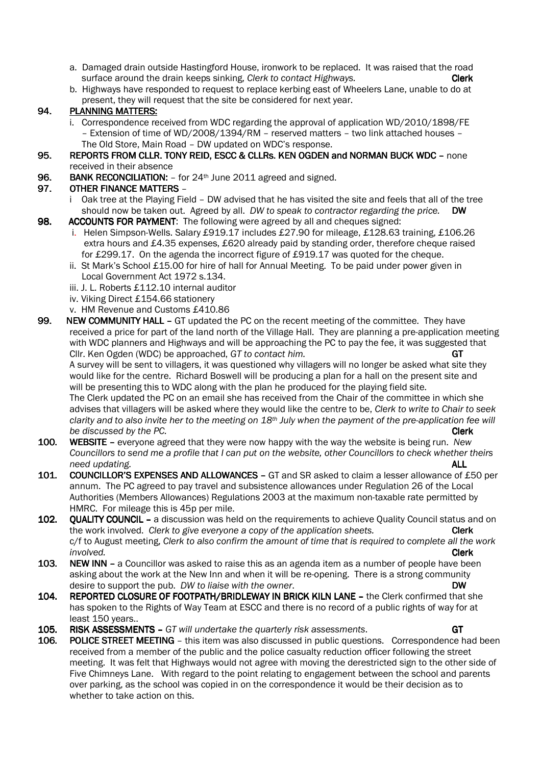- a. Damaged drain outside Hastingford House, ironwork to be replaced. It was raised that the road surface around the drain keeps sinking, *Clerk to contact Highways.* **Clerk Clerk**
- b. Highways have responded to request to replace kerbing east of Wheelers Lane, unable to do at present, they will request that the site be considered for next year.

### 94. PLANNING MATTERS:

- i. Correspondence received from WDC regarding the approval of application WD/2010/1898/FE – Extension of time of WD/2008/1394/RM – reserved matters – two link attached houses – The Old Store, Main Road – DW updated on WDC's response.
- 95. REPORTS FROM CLLR. TONY REID, ESCC & CLLRS. KEN OGDEN and NORMAN BUCK WDC none received in their absence
- 96. BANK RECONCILIATION: for 24<sup>th</sup> June 2011 agreed and signed.

## 97. OTHER FINANCE MATTERS –

- i Oak tree at the Playing Field DW advised that he has visited the site and feels that all of the tree should now be taken out. Agreed by all. *DW to speak to contractor regarding the price.* DW
- 98. ACCOUNTS FOR PAYMENT: The following were agreed by all and cheques signed:
	- i. Helen Simpson-Wells. Salary £919.17 includes £27.90 for mileage, £128.63 training, £106.26 extra hours and £4.35 expenses, £620 already paid by standing order, therefore cheque raised for £299.17. On the agenda the incorrect figure of £919.17 was quoted for the cheque.
	- ii. St Mark's School £15.00 for hire of hall for Annual Meeting. To be paid under power given in Local Government Act 1972 s.134.
	- iii. J. L. Roberts £112.10 internal auditor
	- iv. Viking Direct £154.66 stationery
	- v. HM Revenue and Customs £410.86
- 99. NEW COMMUNITY HALL GT updated the PC on the recent meeting of the committee. They have received a price for part of the land north of the Village Hall. They are planning a pre-application meeting with WDC planners and Highways and will be approaching the PC to pay the fee, it was suggested that Cllr. Ken Ogden (WDC) be approached, *GT to contact him.* GT

 A survey will be sent to villagers, it was questioned why villagers will no longer be asked what site they would like for the centre. Richard Boswell will be producing a plan for a hall on the present site and will be presenting this to WDC along with the plan he produced for the playing field site. The Clerk updated the PC on an email she has received from the Chair of the committee in which she advises that villagers will be asked where they would like the centre to be, *Clerk to write to Chair to seek* 

 *clarity and to also invite her to the meeting on 18th July when the payment of the pre-application fee will be discussed by the PC.* Clerk **Clerk** *Clerk* **<b>Clerk Clerk Clerk** 

- 100. WEBSITE everyone agreed that they were now happy with the way the website is being run. *New Councillors to send me a profile that I can put on the website, other Councillors to check whether theirs need updating.*
- 101. COUNCILLOR'S EXPENSES AND ALLOWANCES GT and SR asked to claim a lesser allowance of £50 per annum. The PC agreed to pay travel and subsistence allowances under Regulation 26 of the Local Authorities (Members Allowances) Regulations 2003 at the maximum non-taxable rate permitted by HMRC. For mileage this is 45p per mile.
- 102. QUALITY COUNCIL a discussion was held on the requirements to achieve Quality Council status and on the work involved. *Clerk to give everyone a copy of the application sheets.* Clerk c/f to August meeting, *Clerk to also confirm the amount of time that is required to complete all the work involved.* Clerk
- 103. NEW INN  $-$  a Councillor was asked to raise this as an agenda item as a number of people have been asking about the work at the New Inn and when it will be re-opening. There is a strong community desire to support the pub. *DW* to liaise with the owner.
- 104. REPORTED CLOSURE OF FOOTPATH/BRIDLEWAY IN BRICK KILN LANE the Clerk confirmed that she has spoken to the Rights of Way Team at ESCC and there is no record of a public rights of way for at least 150 years..
- 
- 105. RISK ASSESSMENTS *GT will undertake the quarterly risk assessments*. GT GT **106.** POLICE STREET MEETING this item was also discussed in public questions. Correspondence https:// POLICE STREET MEETING - this item was also discussed in public questions. Correspondence had been received from a member of the public and the police casualty reduction officer following the street meeting. It was felt that Highways would not agree with moving the derestricted sign to the other side of Five Chimneys Lane. With regard to the point relating to engagement between the school and parents over parking, as the school was copied in on the correspondence it would be their decision as to whether to take action on this.